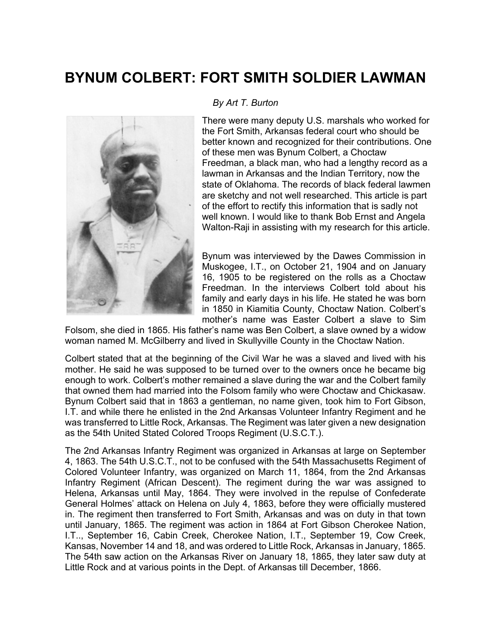## **BYNUM COLBERT: FORT SMITH SOLDIER LAWMAN**



## *By Art T. Burton*

There were many deputy U.S. marshals who worked for the Fort Smith, Arkansas federal court who should be better known and recognized for their contributions. One of these men was Bynum Colbert, a Choctaw Freedman, a black man, who had a lengthy record as a lawman in Arkansas and the Indian Territory, now the state of Oklahoma. The records of black federal lawmen are sketchy and not well researched. This article is part of the effort to rectify this information that is sadly not well known. I would like to thank Bob Ernst and Angela Walton-Raji in assisting with my research for this article.

Bynum was interviewed by the Dawes Commission in Muskogee, I.T., on October 21, 1904 and on January 16, 1905 to be registered on the rolls as a Choctaw Freedman. In the interviews Colbert told about his family and early days in his life. He stated he was born in 1850 in Kiamitia County, Choctaw Nation. Colbert's mother's name was Easter Colbert a slave to Sim

Folsom, she died in 1865. His father's name was Ben Colbert, a slave owned by a widow woman named M. McGilberry and lived in Skullyville County in the Choctaw Nation.

Colbert stated that at the beginning of the Civil War he was a slaved and lived with his mother. He said he was supposed to be turned over to the owners once he became big enough to work. Colbert's mother remained a slave during the war and the Colbert family that owned them had married into the Folsom family who were Choctaw and Chickasaw. Bynum Colbert said that in 1863 a gentleman, no name given, took him to Fort Gibson, I.T. and while there he enlisted in the 2nd Arkansas Volunteer Infantry Regiment and he was transferred to Little Rock, Arkansas. The Regiment was later given a new designation as the 54th United Stated Colored Troops Regiment (U.S.C.T.).

The 2nd Arkansas Infantry Regiment was organized in Arkansas at large on September 4, 1863. The 54th U.S.C.T., not to be confused with the 54th Massachusetts Regiment of Colored Volunteer Infantry, was organized on March 11, 1864, from the 2nd Arkansas Infantry Regiment (African Descent). The regiment during the war was assigned to Helena, Arkansas until May, 1864. They were involved in the repulse of Confederate General Holmes' attack on Helena on July 4, 1863, before they were officially mustered in. The regiment then transferred to Fort Smith, Arkansas and was on duty in that town until January, 1865. The regiment was action in 1864 at Fort Gibson Cherokee Nation, I.T.., September 16, Cabin Creek, Cherokee Nation, I.T., September 19, Cow Creek, Kansas, November 14 and 18, and was ordered to Little Rock, Arkansas in January, 1865. The 54th saw action on the Arkansas River on January 18, 1865, they later saw duty at Little Rock and at various points in the Dept. of Arkansas till December, 1866.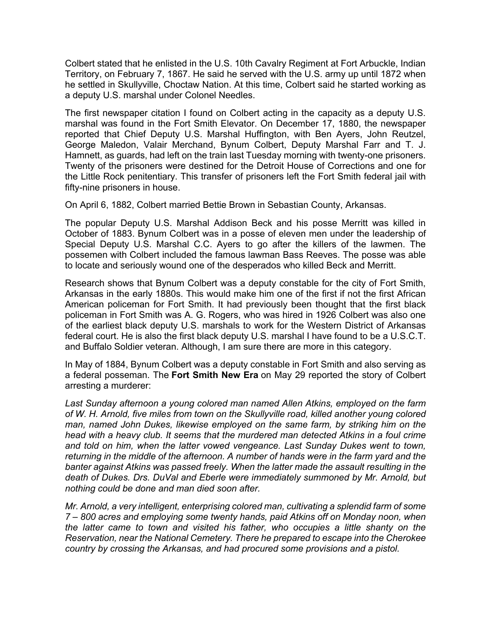Colbert stated that he enlisted in the U.S. 10th Cavalry Regiment at Fort Arbuckle, Indian Territory, on February 7, 1867. He said he served with the U.S. army up until 1872 when he settled in Skullyville, Choctaw Nation. At this time, Colbert said he started working as a deputy U.S. marshal under Colonel Needles.

The first newspaper citation I found on Colbert acting in the capacity as a deputy U.S. marshal was found in the Fort Smith Elevator. On December 17, 1880, the newspaper reported that Chief Deputy U.S. Marshal Huffington, with Ben Ayers, John Reutzel, George Maledon, Valair Merchand, Bynum Colbert, Deputy Marshal Farr and T. J. Hamnett, as guards, had left on the train last Tuesday morning with twenty-one prisoners. Twenty of the prisoners were destined for the Detroit House of Corrections and one for the Little Rock penitentiary. This transfer of prisoners left the Fort Smith federal jail with fifty-nine prisoners in house.

On April 6, 1882, Colbert married Bettie Brown in Sebastian County, Arkansas.

The popular Deputy U.S. Marshal Addison Beck and his posse Merritt was killed in October of 1883. Bynum Colbert was in a posse of eleven men under the leadership of Special Deputy U.S. Marshal C.C. Ayers to go after the killers of the lawmen. The possemen with Colbert included the famous lawman Bass Reeves. The posse was able to locate and seriously wound one of the desperados who killed Beck and Merritt.

Research shows that Bynum Colbert was a deputy constable for the city of Fort Smith, Arkansas in the early 1880s. This would make him one of the first if not the first African American policeman for Fort Smith. It had previously been thought that the first black policeman in Fort Smith was A. G. Rogers, who was hired in 1926 Colbert was also one of the earliest black deputy U.S. marshals to work for the Western District of Arkansas federal court. He is also the first black deputy U.S. marshal I have found to be a U.S.C.T. and Buffalo Soldier veteran. Although, I am sure there are more in this category.

In May of 1884, Bynum Colbert was a deputy constable in Fort Smith and also serving as a federal posseman. The **Fort Smith New Era** on May 29 reported the story of Colbert arresting a murderer:

*Last Sunday afternoon a young colored man named Allen Atkins, employed on the farm of W. H. Arnold, five miles from town on the Skullyville road, killed another young colored man, named John Dukes, likewise employed on the same farm, by striking him on the head with a heavy club. It seems that the murdered man detected Atkins in a foul crime*  and told on him, when the latter vowed vengeance. Last Sunday Dukes went to town, *returning in the middle of the afternoon. A number of hands were in the farm yard and the banter against Atkins was passed freely. When the latter made the assault resulting in the death of Dukes. Drs. DuVal and Eberle were immediately summoned by Mr. Arnold, but nothing could be done and man died soon after.*

*Mr. Arnold, a very intelligent, enterprising colored man, cultivating a splendid farm of some 7 – 800 acres and employing some twenty hands, paid Atkins off on Monday noon, when the latter came to town and visited his father, who occupies a little shanty on the Reservation, near the National Cemetery. There he prepared to escape into the Cherokee country by crossing the Arkansas, and had procured some provisions and a pistol.*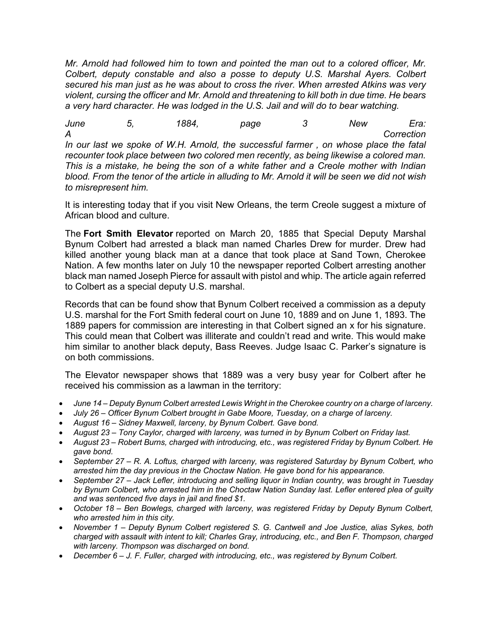*Mr. Arnold had followed him to town and pointed the man out to a colored officer, Mr. Colbert, deputy constable and also a posse to deputy U.S. Marshal Ayers. Colbert secured his man just as he was about to cross the river. When arrested Atkins was very violent, cursing the officer and Mr. Arnold and threatening to kill both in due time. He bears a very hard character. He was lodged in the U.S. Jail and will do to bear watching.*

*June 5, 1884, page 3 New Era: A Correction In our last we spoke of W.H. Arnold, the successful farmer , on whose place the fatal recounter took place between two colored men recently, as being likewise a colored man. This is a mistake, he being the son of a white father and a Creole mother with Indian blood. From the tenor of the article in alluding to Mr. Arnold it will be seen we did not wish to misrepresent him.*

It is interesting today that if you visit New Orleans, the term Creole suggest a mixture of African blood and culture.

The **Fort Smith Elevator** reported on March 20, 1885 that Special Deputy Marshal Bynum Colbert had arrested a black man named Charles Drew for murder. Drew had killed another young black man at a dance that took place at Sand Town, Cherokee Nation. A few months later on July 10 the newspaper reported Colbert arresting another black man named Joseph Pierce for assault with pistol and whip. The article again referred to Colbert as a special deputy U.S. marshal.

Records that can be found show that Bynum Colbert received a commission as a deputy U.S. marshal for the Fort Smith federal court on June 10, 1889 and on June 1, 1893. The 1889 papers for commission are interesting in that Colbert signed an x for his signature. This could mean that Colbert was illiterate and couldn't read and write. This would make him similar to another black deputy, Bass Reeves. Judge Isaac C. Parker's signature is on both commissions.

The Elevator newspaper shows that 1889 was a very busy year for Colbert after he received his commission as a lawman in the territory:

- *June 14 – Deputy Bynum Colbert arrested Lewis Wright in the Cherokee country on a charge of larceny.*
- *July 26 – Officer Bynum Colbert brought in Gabe Moore, Tuesday, on a charge of larceny.*
- *August 16 – Sidney Maxwell, larceny, by Bynum Colbert. Gave bond.*
- *August 23 – Tony Caylor, charged with larceny, was turned in by Bynum Colbert on Friday last.*
- *August 23 – Robert Burns, charged with introducing, etc., was registered Friday by Bynum Colbert. He gave bond.*
- *September 27 – R. A. Loftus, charged with larceny, was registered Saturday by Bynum Colbert, who arrested him the day previous in the Choctaw Nation. He gave bond for his appearance.*
- *September 27 – Jack Lefler, introducing and selling liquor in Indian country, was brought in Tuesday by Bynum Colbert, who arrested him in the Choctaw Nation Sunday last. Lefler entered plea of guilty and was sentenced five days in jail and fined \$1.*
- *October 18 – Ben Bowlegs, charged with larceny, was registered Friday by Deputy Bynum Colbert, who arrested him in this city.*
- *November 1 – Deputy Bynum Colbert registered S. G. Cantwell and Joe Justice, alias Sykes, both charged with assault with intent to kill; Charles Gray, introducing, etc., and Ben F. Thompson, charged with larceny. Thompson was discharged on bond.*
- *December 6 – J. F. Fuller, charged with introducing, etc., was registered by Bynum Colbert.*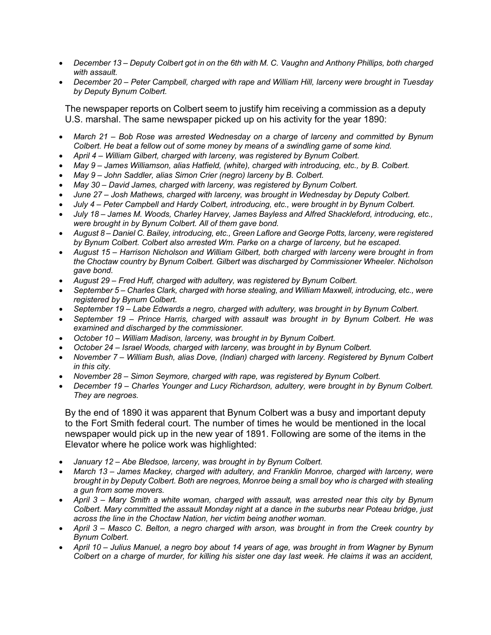- *December 13 – Deputy Colbert got in on the 6th with M. C. Vaughn and Anthony Phillips, both charged with assault.*
- *December 20 – Peter Campbell, charged with rape and William Hill, larceny were brought in Tuesday by Deputy Bynum Colbert.*

The newspaper reports on Colbert seem to justify him receiving a commission as a deputy U.S. marshal. The same newspaper picked up on his activity for the year 1890:

- *March 21 – Bob Rose was arrested Wednesday on a charge of larceny and committed by Bynum Colbert. He beat a fellow out of some money by means of a swindling game of some kind.*
- *April 4 – William Gilbert, charged with larceny, was registered by Bynum Colbert.*
- *May 9 – James Williamson, alias Hatfield, (white), charged with introducing, etc., by B. Colbert.*
- *May 9 – John Saddler, alias Simon Crier (negro) larceny by B. Colbert.*
- *May 30 – David James, charged with larceny, was registered by Bynum Colbert.*
- *June 27 – Josh Mathews, charged with larceny, was brought in Wednesday by Deputy Colbert.*
- *July 4 – Peter Campbell and Hardy Colbert, introducing, etc., were brought in by Bynum Colbert.*
- *July 18 – James M. Woods, Charley Harvey, James Bayless and Alfred Shackleford, introducing, etc., were brought in by Bynum Colbert. All of them gave bond.*
- *August 8 – Daniel C. Bailey, introducing, etc., Green Laflore and George Potts, larceny, were registered by Bynum Colbert. Colbert also arrested Wm. Parke on a charge of larceny, but he escaped.*
- *August 15 – Harrison Nicholson and William Gilbert, both charged with larceny were brought in from the Choctaw country by Bynum Colbert. Gilbert was discharged by Commissioner Wheeler. Nicholson gave bond.*
- *August 29 – Fred Huff, charged with adultery, was registered by Bynum Colbert.*
- *September 5 – Charles Clark, charged with horse stealing, and William Maxwell, introducing, etc., were registered by Bynum Colbert.*
- *September 19 – Labe Edwards a negro, charged with adultery, was brought in by Bynum Colbert.*
- *September 19 – Prince Harris, charged with assault was brought in by Bynum Colbert. He was examined and discharged by the commissioner.*
- *October 10 – William Madison, larceny, was brought in by Bynum Colbert.*
- *October 24 – Israel Woods, charged with larceny, was brought in by Bynum Colbert.*
- *November 7 – William Bush, alias Dove, (Indian) charged with larceny. Registered by Bynum Colbert in this city.*
- *November 28 – Simon Seymore, charged with rape, was registered by Bynum Colbert.*
- *December 19 – Charles Younger and Lucy Richardson, adultery, were brought in by Bynum Colbert. They are negroes.*

By the end of 1890 it was apparent that Bynum Colbert was a busy and important deputy to the Fort Smith federal court. The number of times he would be mentioned in the local newspaper would pick up in the new year of 1891. Following are some of the items in the Elevator where he police work was highlighted:

- *January 12 – Abe Bledsoe, larceny, was brought in by Bynum Colbert.*
- *March 13 – James Mackey, charged with adultery, and Franklin Monroe, charged with larceny, were brought in by Deputy Colbert. Both are negroes, Monroe being a small boy who is charged with stealing a gun from some movers.*
- *April 3 – Mary Smith a white woman, charged with assault, was arrested near this city by Bynum Colbert. Mary committed the assault Monday night at a dance in the suburbs near Poteau bridge, just across the line in the Choctaw Nation, her victim being another woman.*
- *April 3 – Masco C. Belton, a negro charged with arson, was brought in from the Creek country by Bynum Colbert.*
- *April 10 – Julius Manuel, a negro boy about 14 years of age, was brought in from Wagner by Bynum Colbert on a charge of murder, for killing his sister one day last week. He claims it was an accident,*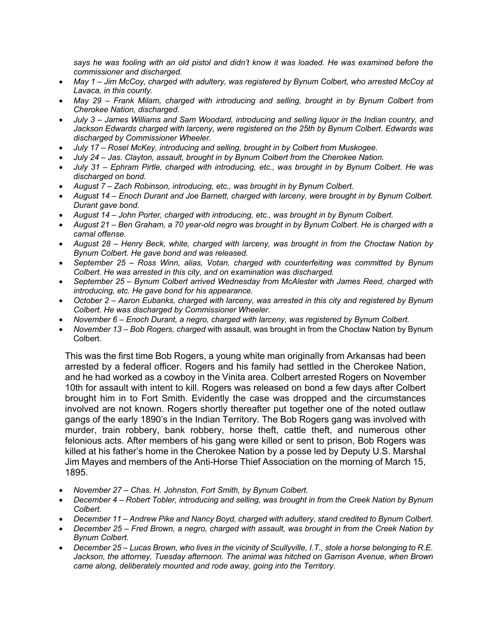*says he was fooling with an old pistol and didn't know it was loaded. He was examined before the commissioner and discharged.*

- *May 1 – Jim McCoy, charged with adultery, was registered by Bynum Colbert, who arrested McCoy at Lavaca, in this county.*
- *May 29 – Frank Milam, charged with introducing and selling, brought in by Bynum Colbert from Cherokee Nation, discharged.*
- *July 3 – James Williams and Sam Woodard, introducing and selling liquor in the Indian country, and Jackson Edwards charged with larceny, were registered on the 25th by Bynum Colbert. Edwards was discharged by Commissioner Wheeler.*
- *July 17 – Rosel McKey, introducing and selling, brought in by Colbert from Muskogee.*
- *July 24 – Jas. Clayton, assault, brought in by Bynum Colbert from the Cherokee Nation.*
- *July 31 – Ephram Pirtle, charged with introducing, etc., was brought in by Bynum Colbert. He was discharged on bond.*
- *August 7 – Zach Robinson, introducing, etc., was brought in by Bynum Colbert.*
- *August 14 – Enoch Durant and Joe Barnett, charged with larceny, were brought in by Bynum Colbert. Durant gave bond.*
- *August 14 – John Porter, charged with introducing, etc., was brought in by Bynum Colbert.*
- *August 21 – Ben Graham, a 70 year-old negro was brought in by Bynum Colbert. He is charged with a carnal offense.*
- *August 28 – Henry Beck, white, charged with larceny, was brought in from the Choctaw Nation by Bynum Colbert. He gave bond and was released.*
- *September 25 – Ross Winn, alias, Votan, charged with counterfeiting was committed by Bynum Colbert. He was arrested in this city, and on examination was discharged.*
- *September 25 – Bynum Colbert arrived Wednesday from McAlester with James Reed, charged with introducing, etc. He gave bond for his appearance.*
- *October 2 – Aaron Eubanks, charged with larceny, was arrested in this city and registered by Bynum Colbert. He was discharged by Commissioner Wheeler.*
- *November 6 – Enoch Durant, a negro, charged with larceny, was registered by Bynum Colbert.*
- *November 13 – Bob Rogers, charged* with assault, was brought in from the Choctaw Nation by Bynum Colbert.

This was the first time Bob Rogers, a young white man originally from Arkansas had been arrested by a federal officer. Rogers and his family had settled in the Cherokee Nation, and he had worked as a cowboy in the Vinita area. Colbert arrested Rogers on November 10th for assault with intent to kill. Rogers was released on bond a few days after Colbert brought him in to Fort Smith. Evidently the case was dropped and the circumstances involved are not known. Rogers shortly thereafter put together one of the noted outlaw gangs of the early 1890's in the Indian Territory. The Bob Rogers gang was involved with murder, train robbery, bank robbery, horse theft, cattle theft, and numerous other felonious acts. After members of his gang were killed or sent to prison, Bob Rogers was killed at his father's home in the Cherokee Nation by a posse led by Deputy U.S. Marshal Jim Mayes and members of the Anti-Horse Thief Association on the morning of March 15, 1895.

- *November 27 – Chas. H. Johnston, Fort Smith, by Bynum Colbert.*
- *December 4 – Robert Tobler, introducing and selling, was brought in from the Creek Nation by Bynum Colbert.*
- *December 11 – Andrew Pike and Nancy Boyd, charged with adultery, stand credited to Bynum Colbert.*
- *December 25 – Fred Brown, a negro, charged with assault, was brought in from the Creek Nation by Bynum Colbert.*
- *December 25 – Lucas Brown, who lives in the vicinity of Scullyville, I.T., stole a horse belonging to R.E. Jackson, the attorney, Tuesday afternoon. The animal was hitched on Garrison Avenue, when Brown came along, deliberately mounted and rode away, going into the Territory.*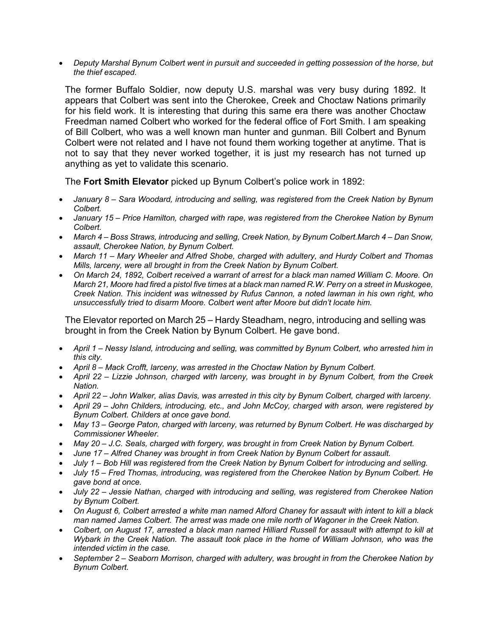• *Deputy Marshal Bynum Colbert went in pursuit and succeeded in getting possession of the horse, but the thief escaped.*

The former Buffalo Soldier, now deputy U.S. marshal was very busy during 1892. It appears that Colbert was sent into the Cherokee, Creek and Choctaw Nations primarily for his field work. It is interesting that during this same era there was another Choctaw Freedman named Colbert who worked for the federal office of Fort Smith. I am speaking of Bill Colbert, who was a well known man hunter and gunman. Bill Colbert and Bynum Colbert were not related and I have not found them working together at anytime. That is not to say that they never worked together, it is just my research has not turned up anything as yet to validate this scenario.

The **Fort Smith Elevator** picked up Bynum Colbert's police work in 1892:

- *January 8 – Sara Woodard, introducing and selling, was registered from the Creek Nation by Bynum Colbert.*
- *January 15 – Price Hamilton, charged with rape, was registered from the Cherokee Nation by Bynum Colbert.*
- *March 4 – Boss Straws, introducing and selling, Creek Nation, by Bynum Colbert.March 4 – Dan Snow, assault, Cherokee Nation, by Bynum Colbert.*
- *March 11 – Mary Wheeler and Alfred Shobe, charged with adultery, and Hurdy Colbert and Thomas Mills, larceny, were all brought in from the Creek Nation by Bynum Colbert.*
- *On March 24, 1892, Colbert received a warrant of arrest for a black man named William C. Moore. On March 21, Moore had fired a pistol five times at a black man named R.W. Perry on a street in Muskogee, Creek Nation. This incident was witnessed by Rufus Cannon, a noted lawman in his own right, who unsuccessfully tried to disarm Moore. Colbert went after Moore but didn't locate him.*

The Elevator reported on March 25 – Hardy Steadham, negro, introducing and selling was brought in from the Creek Nation by Bynum Colbert. He gave bond.

- *April 1 – Nessy Island, introducing and selling, was committed by Bynum Colbert, who arrested him in this city.*
- *April 8 – Mack Crofft, larceny, was arrested in the Choctaw Nation by Bynum Colbert.*
- *April 22 – Lizzie Johnson, charged with larceny, was brought in by Bynum Colbert, from the Creek Nation.*
- *April 22 – John Walker, alias Davis, was arrested in this city by Bynum Colbert, charged with larceny.*
- *April 29 – John Childers, introducing, etc., and John McCoy, charged with arson, were registered by Bynum Colbert. Childers at once gave bond.*
- *May 13 – George Paton, charged with larceny, was returned by Bynum Colbert. He was discharged by Commissioner Wheeler.*
- *May 20 – J.C. Seals, charged with forgery, was brought in from Creek Nation by Bynum Colbert.*
- *June 17 – Alfred Chaney was brought in from Creek Nation by Bynum Colbert for assault.*
- *July 1 – Bob Hill was registered from the Creek Nation by Bynum Colbert for introducing and selling.*
- *July 15 – Fred Thomas, introducing, was registered from the Cherokee Nation by Bynum Colbert. He gave bond at once.*
- *July 22 – Jessie Nathan, charged with introducing and selling, was registered from Cherokee Nation by Bynum Colbert.*
- *On August 6, Colbert arrested a white man named Alford Chaney for assault with intent to kill a black man named James Colbert. The arrest was made one mile north of Wagoner in the Creek Nation.*
- *Colbert, on August 17, arrested a black man named Hilliard Russell for assault with attempt to kill at Wybark in the Creek Nation. The assault took place in the home of William Johnson, who was the intended victim in the case.*
- *September 2 – Seaborn Morrison, charged with adultery, was brought in from the Cherokee Nation by Bynum Colbert.*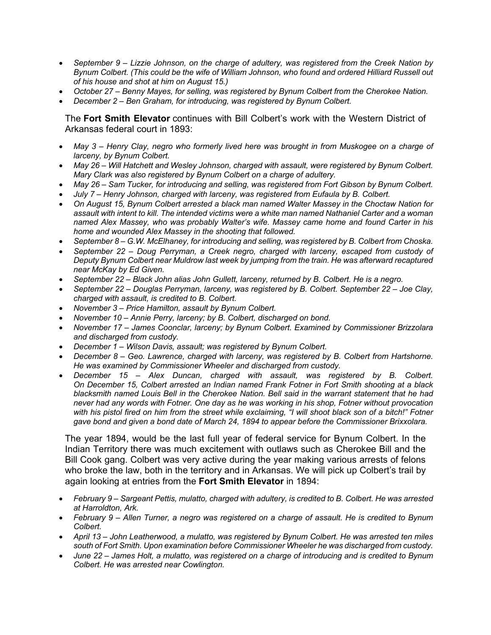- *September 9 – Lizzie Johnson, on the charge of adultery, was registered from the Creek Nation by Bynum Colbert. (This could be the wife of William Johnson, who found and ordered Hilliard Russell out of his house and shot at him on August 15.)*
- *October 27 – Benny Mayes, for selling, was registered by Bynum Colbert from the Cherokee Nation.*
- *December 2 – Ben Graham, for introducing, was registered by Bynum Colbert.*

## The **Fort Smith Elevator** continues with Bill Colbert's work with the Western District of Arkansas federal court in 1893:

- *May 3 – Henry Clay, negro who formerly lived here was brought in from Muskogee on a charge of larceny, by Bynum Colbert.*
- *May 26 – Will Hatchett and Wesley Johnson, charged with assault, were registered by Bynum Colbert. Mary Clark was also registered by Bynum Colbert on a charge of adultery.*
- *May 26 – Sam Tucker, for introducing and selling, was registered from Fort Gibson by Bynum Colbert.*
- *July 7 – Henry Johnson, charged with larceny, was registered from Eufaula by B. Colbert.*
- *On August 15, Bynum Colbert arrested a black man named Walter Massey in the Choctaw Nation for assault with intent to kill. The intended victims were a white man named Nathaniel Carter and a woman named Alex Massey, who was probably Walter's wife. Massey came home and found Carter in his home and wounded Alex Massey in the shooting that followed.*
- *September 8 – G.W. McElhaney, for introducing and selling, was registered by B. Colbert from Choska.*
- *September 22 – Doug Perryman, a Creek negro, charged with larceny, escaped from custody of Deputy Bynum Colbert near Muldrow last week by jumping from the train. He was afterward recaptured near McKay by Ed Given.*
- *September 22 – Black John alias John Gullett, larceny, returned by B. Colbert. He is a negro.*
- *September 22 – Douglas Perryman, larceny, was registered by B. Colbert. September 22 – Joe Clay, charged with assault, is credited to B. Colbert.*
- *November 3 – Price Hamilton, assault by Bynum Colbert.*
- *November 10 – Annie Perry, larceny; by B. Colbert, discharged on bond.*
- *November 17 – James Coonclar, larceny; by Bynum Colbert. Examined by Commissioner Brizzolara and discharged from custody.*
- *December 1 – Wilson Davis, assault; was registered by Bynum Colbert.*
- *December 8 – Geo. Lawrence, charged with larceny, was registered by B. Colbert from Hartshorne. He was examined by Commissioner Wheeler and discharged from custody.*
- *December 15 – Alex Duncan, charged with assault, was registered by B. Colbert. On December 15, Colbert arrested an Indian named Frank Fotner in Fort Smith shooting at a black blacksmith named Louis Bell in the Cherokee Nation. Bell said in the warrant statement that he had never had any words with Fotner. One day as he was working in his shop, Fotner without provocation with his pistol fired on him from the street while exclaiming, "I will shoot black son of a bitch!" Fotner gave bond and given a bond date of March 24, 1894 to appear before the Commissioner Brixxolara.*

The year 1894, would be the last full year of federal service for Bynum Colbert. In the Indian Territory there was much excitement with outlaws such as Cherokee Bill and the Bill Cook gang. Colbert was very active during the year making various arrests of felons who broke the law, both in the territory and in Arkansas. We will pick up Colbert's trail by again looking at entries from the **Fort Smith Elevator** in 1894:

- *February 9 – Sargeant Pettis, mulatto, charged with adultery, is credited to B. Colbert. He was arrested at Harroldton, Ark.*
- *February 9 – Allen Turner, a negro was registered on a charge of assault. He is credited to Bynum Colbert.*
- *April 13 – John Leatherwood, a mulatto, was registered by Bynum Colbert. He was arrested ten miles south of Fort Smith. Upon examination before Commissioner Wheeler he was discharged from custody.*
- *June 22 – James Holt, a mulatto, was registered on a charge of introducing and is credited to Bynum Colbert. He was arrested near Cowlington.*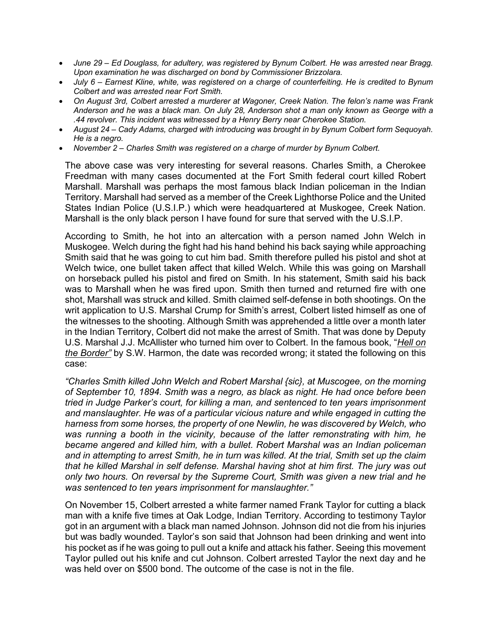- *June 29 – Ed Douglass, for adultery, was registered by Bynum Colbert. He was arrested near Bragg. Upon examination he was discharged on bond by Commissioner Brizzolara.*
- *July 6 – Earnest Kline, white, was registered on a charge of counterfeiting. He is credited to Bynum Colbert and was arrested near Fort Smith.*
- *On August 3rd, Colbert arrested a murderer at Wagoner, Creek Nation. The felon's name was Frank Anderson and he was a black man. On July 28, Anderson shot a man only known as George with a .44 revolver. This incident was witnessed by a Henry Berry near Cherokee Station.*
- *August 24 – Cady Adams, charged with introducing was brought in by Bynum Colbert form Sequoyah. He is a negro.*
- *November 2 – Charles Smith was registered on a charge of murder by Bynum Colbert.*

The above case was very interesting for several reasons. Charles Smith, a Cherokee Freedman with many cases documented at the Fort Smith federal court killed Robert Marshall. Marshall was perhaps the most famous black Indian policeman in the Indian Territory. Marshall had served as a member of the Creek Lighthorse Police and the United States Indian Police (U.S.I.P.) which were headquartered at Muskogee, Creek Nation. Marshall is the only black person I have found for sure that served with the U.S.I.P.

According to Smith, he hot into an altercation with a person named John Welch in Muskogee. Welch during the fight had his hand behind his back saying while approaching Smith said that he was going to cut him bad. Smith therefore pulled his pistol and shot at Welch twice, one bullet taken affect that killed Welch. While this was going on Marshall on horseback pulled his pistol and fired on Smith. In his statement, Smith said his back was to Marshall when he was fired upon. Smith then turned and returned fire with one shot, Marshall was struck and killed. Smith claimed self-defense in both shootings. On the writ application to U.S. Marshal Crump for Smith's arrest, Colbert listed himself as one of the witnesses to the shooting. Although Smith was apprehended a little over a month later in the Indian Territory, Colbert did not make the arrest of Smith. That was done by Deputy U.S. Marshal J.J. McAllister who turned him over to Colbert. In the famous book, "*Hell on the Border"* by S.W. Harmon, the date was recorded wrong; it stated the following on this case:

*"Charles Smith killed John Welch and Robert Marshal {sic}, at Muscogee, on the morning of September 10, 1894. Smith was a negro, as black as night. He had once before been tried in Judge Parker's court, for killing a man, and sentenced to ten years imprisonment and manslaughter. He was of a particular vicious nature and while engaged in cutting the harness from some horses, the property of one Newlin, he was discovered by Welch, who was running a booth in the vicinity, because of the latter remonstrating with him, he became angered and killed him, with a bullet. Robert Marshal was an Indian policeman and in attempting to arrest Smith, he in turn was killed. At the trial, Smith set up the claim that he killed Marshal in self defense. Marshal having shot at him first. The jury was out only two hours. On reversal by the Supreme Court, Smith was given a new trial and he was sentenced to ten years imprisonment for manslaughter."*

On November 15, Colbert arrested a white farmer named Frank Taylor for cutting a black man with a knife five times at Oak Lodge, Indian Territory. According to testimony Taylor got in an argument with a black man named Johnson. Johnson did not die from his injuries but was badly wounded. Taylor's son said that Johnson had been drinking and went into his pocket as if he was going to pull out a knife and attack his father. Seeing this movement Taylor pulled out his knife and cut Johnson. Colbert arrested Taylor the next day and he was held over on \$500 bond. The outcome of the case is not in the file.